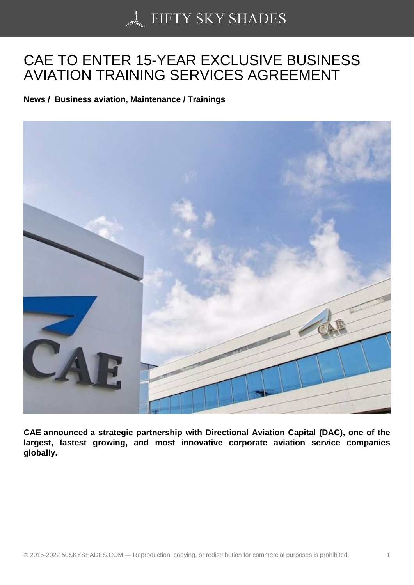## [CAE TO ENTER 15-YE](https://50skyshades.com)AR EXCLUSIVE BUSINESS AVIATION TRAINING SERVICES AGREEMENT

News / Business aviation, Maintenance / Trainings

CAE announced a strategic partnership with Directional Aviation Capital (DAC), one of the largest, fastest growing, and most innovative corporate aviation service companies globally.